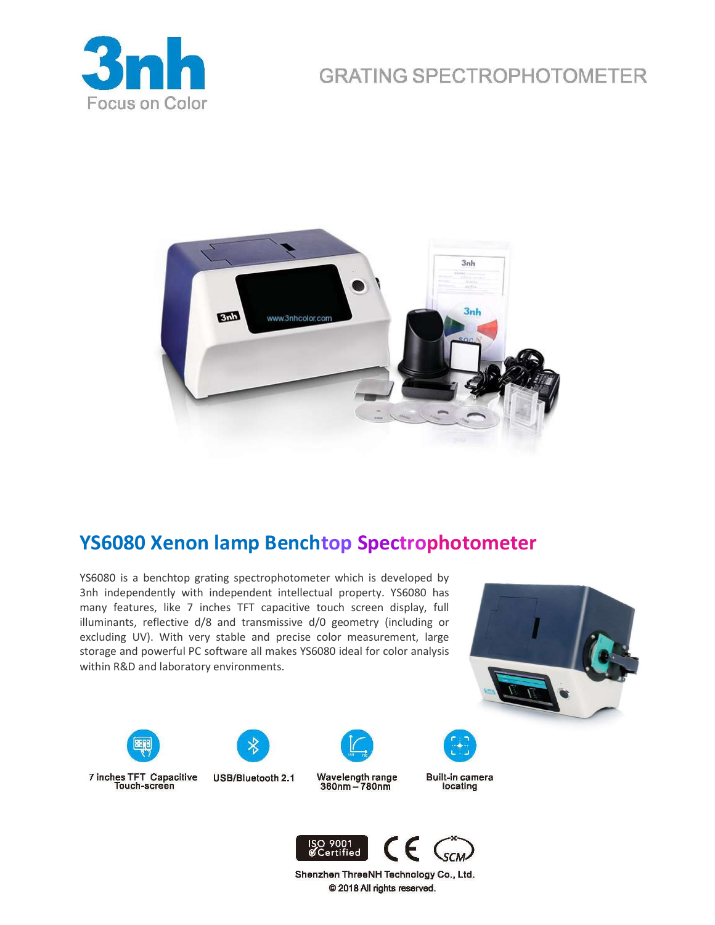# **GRATING SPECTROPHOTOMETER**





# YS6080 Xenon lamp Benchtop Spectrophotometer

YS6080 is a benchtop grating spectrophotometer which is developed by 3nh independently with independent intellectual property. YS6080 has many features, like 7 inches TFT capacitive touch screen display, full illuminants, reflective d/8 and transmissive d/0 geometry (including or excluding UV). With very stable and precise color measurement, large storage and powerful PC software all makes YS6080 ideal for color analysis within R&D and laboratory environments.





7 inches TFT Capacitive<br>Touch-screen





Wavelength range 360nm - 780nm

Built-in camera locating



Shenzhen ThreeNH Technology Co., Ltd. @ 2018 All rights reserved.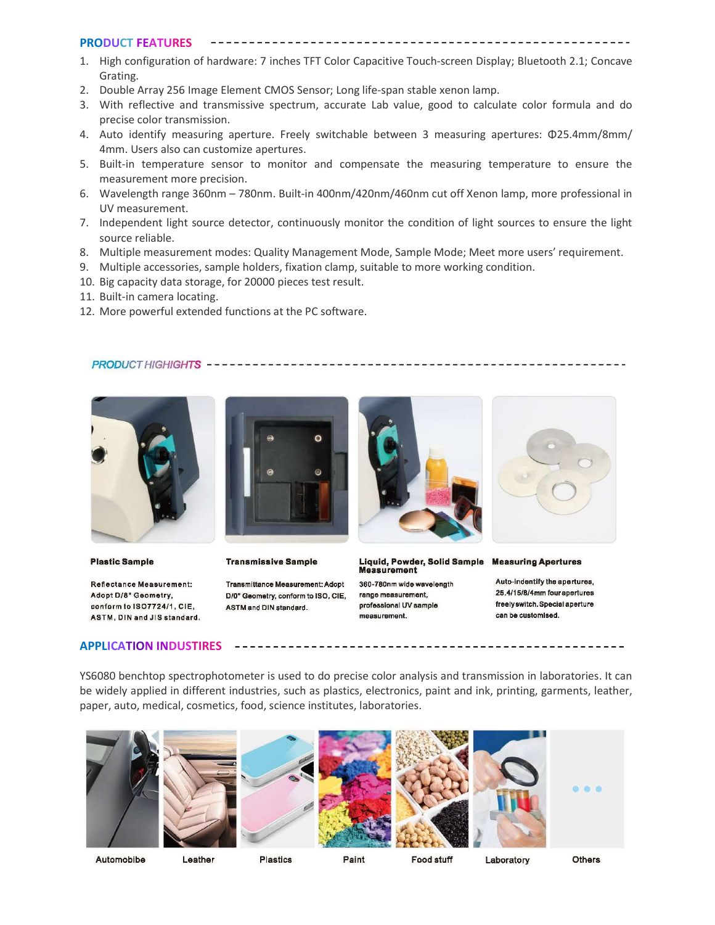### PRODUCT FEATURES

- 1. High configuration of hardware: 7 inches TFT Color Capacitive Touch-screen Display; Bluetooth 2.1; Concave Grating.
- 2. Double Array 256 Image Element CMOS Sensor; Long life-span stable xenon lamp.
- 3. With reflective and transmissive spectrum, accurate Lab value, good to calculate color formula and do precise color transmission.
- 4. Auto identify measuring aperture. Freely switchable between 3 measuring apertures: Φ25.4mm/8mm/ 4mm. Users also can customize apertures.
- 5. Built-in temperature sensor to monitor and compensate the measuring temperature to ensure the measurement more precision.
- 6. Wavelength range 360nm 780nm. Built-in 400nm/420nm/460nm cut off Xenon lamp, more professional in UV measurement.
- 7. Independent light source detector, continuously monitor the condition of light sources to ensure the light source reliable.
- 8. Multiple measurement modes: Quality Management Mode, Sample Mode; Meet more users' requirement.
- 9. Multiple accessories, sample holders, fixation clamp, suitable to more working condition.
- 10. Big capacity data storage, for 20000 pieces test result.
- 11. Built-in camera locating.
- 12. More powerful extended functions at the PC software.

### 



**Plastic Sample** 

Reflectance Measurement: Adopt D/8° Geometry, conform to ISO7724/1, CIE, ASTM, DIN and JIS standard.



**Transmissive Sample** 

Transmittance Measurement: Adopt D/0° Geometry, conform to ISO, CIE. **ASTM and DIN standard.** 



Liquid, Powder, Solid Sample Measuring Apertures **Measurement** 

360-780nm wide wavelength range measurement. professional UV sample measurement.



Auto-indentify the apertures, 25.4/15/8/4mm four apertures freely switch. Special aperture can be customised.

### APPLICATION INDUSTIRES

YS6080 benchtop spectrophotometer is used to do precise color analysis and transmission in laboratories. It can be widely applied in different industries, such as plastics, electronics, paint and ink, printing, garments, leather, paper, auto, medical, cosmetics, food, science institutes, laboratories.











Automobibe

Leather

Plastics

Paint

Food stuff

Laboratory

**Others**